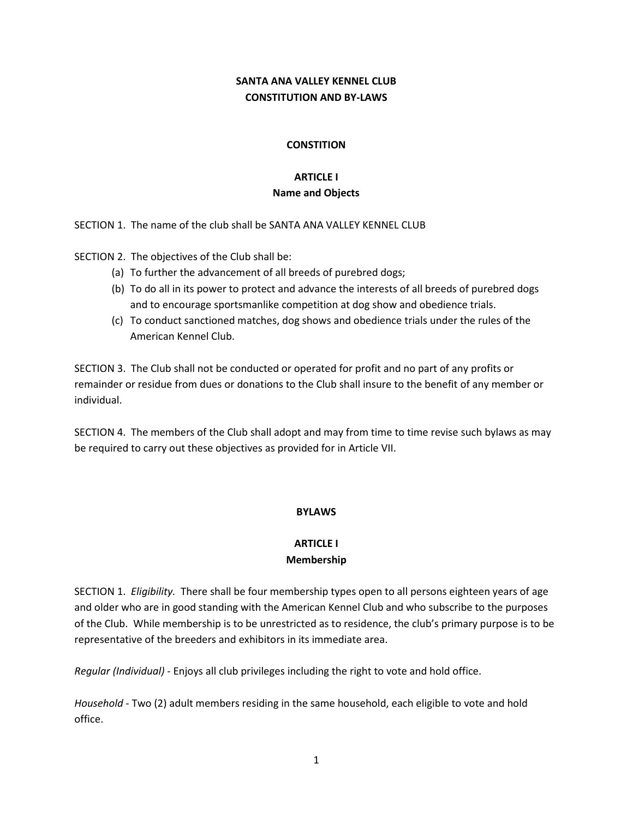### **SANTA ANA VALLEY KENNEL CLUB CONSTITUTION AND BY-LAWS**

### **CONSTITION**

# **ARTICLE I Name and Objects**

SECTION 1. The name of the club shall be SANTA ANA VALLEY KENNEL CLUB

SECTION 2. The objectives of the Club shall be:

- (a) To further the advancement of all breeds of purebred dogs;
- (b) To do all in its power to protect and advance the interests of all breeds of purebred dogs and to encourage sportsmanlike competition at dog show and obedience trials.
- (c) To conduct sanctioned matches, dog shows and obedience trials under the rules of the American Kennel Club.

SECTION 3. The Club shall not be conducted or operated for profit and no part of any profits or remainder or residue from dues or donations to the Club shall insure to the benefit of any member or individual.

SECTION 4. The members of the Club shall adopt and may from time to time revise such bylaws as may be required to carry out these objectives as provided for in Article VII.

### **BYLAWS**

#### **ARTICLE I Membership**

SECTION 1. *Eligibility.* There shall be four membership types open to all persons eighteen years of age and older who are in good standing with the American Kennel Club and who subscribe to the purposes of the Club. While membership is to be unrestricted as to residence, the club's primary purpose is to be representative of the breeders and exhibitors in its immediate area.

*Regular (Individual)* - Enjoys all club privileges including the right to vote and hold office.

*Household* - Two (2) adult members residing in the same household, each eligible to vote and hold office.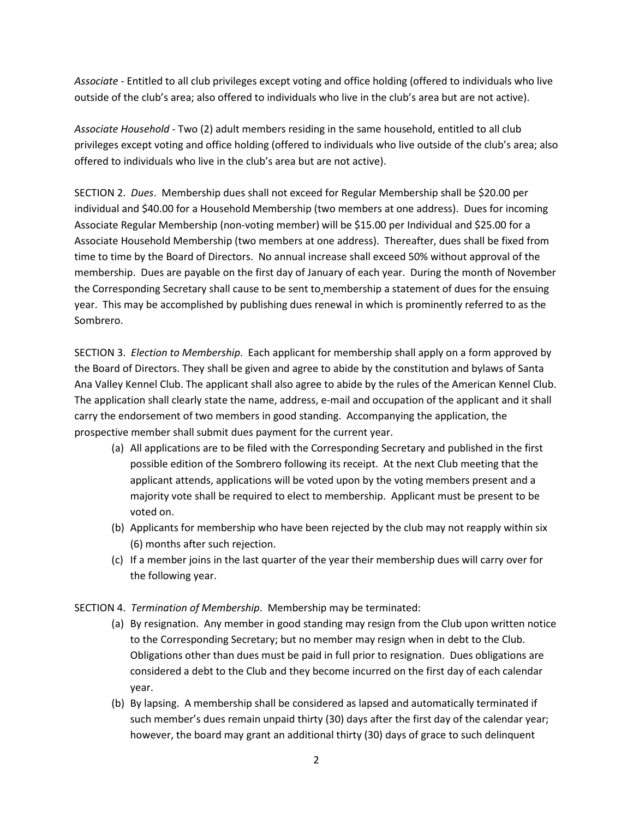*Associate* - Entitled to all club privileges except voting and office holding (offered to individuals who live outside of the club's area; also offered to individuals who live in the club's area but are not active).

*Associate Household -* Two (2) adult members residing in the same household, entitled to all club privileges except voting and office holding (offered to individuals who live outside of the club's area; also offered to individuals who live in the club's area but are not active).

SECTION 2. *Dues*. Membership dues shall not exceed for Regular Membership shall be \$20.00 per individual and \$40.00 for a Household Membership (two members at one address). Dues for incoming Associate Regular Membership (non-voting member) will be \$15.00 per Individual and \$25.00 for a Associate Household Membership (two members at one address). Thereafter, dues shall be fixed from time to time by the Board of Directors. No annual increase shall exceed 50% without approval of the membership. Dues are payable on the first day of January of each year. During the month of November the Corresponding Secretary shall cause to be sent to membership a statement of dues for the ensuing year. This may be accomplished by publishing dues renewal in which is prominently referred to as the Sombrero.

SECTION 3. *Election to Membership*. Each applicant for membership shall apply on a form approved by the Board of Directors. They shall be given and agree to abide by the constitution and bylaws of Santa Ana Valley Kennel Club. The applicant shall also agree to abide by the rules of the American Kennel Club. The application shall clearly state the name, address, e-mail and occupation of the applicant and it shall carry the endorsement of two members in good standing. Accompanying the application, the prospective member shall submit dues payment for the current year.

- (a) All applications are to be filed with the Corresponding Secretary and published in the first possible edition of the Sombrero following its receipt. At the next Club meeting that the applicant attends, applications will be voted upon by the voting members present and a majority vote shall be required to elect to membership. Applicant must be present to be voted on.
- (b) Applicants for membership who have been rejected by the club may not reapply within six (6) months after such rejection.
- (c) If a member joins in the last quarter of the year their membership dues will carry over for the following year.
- SECTION 4. *Termination of Membership*. Membership may be terminated:
	- (a) By resignation. Any member in good standing may resign from the Club upon written notice to the Corresponding Secretary; but no member may resign when in debt to the Club. Obligations other than dues must be paid in full prior to resignation. Dues obligations are considered a debt to the Club and they become incurred on the first day of each calendar year.
	- (b) By lapsing. A membership shall be considered as lapsed and automatically terminated if such member's dues remain unpaid thirty (30) days after the first day of the calendar year; however, the board may grant an additional thirty (30) days of grace to such delinquent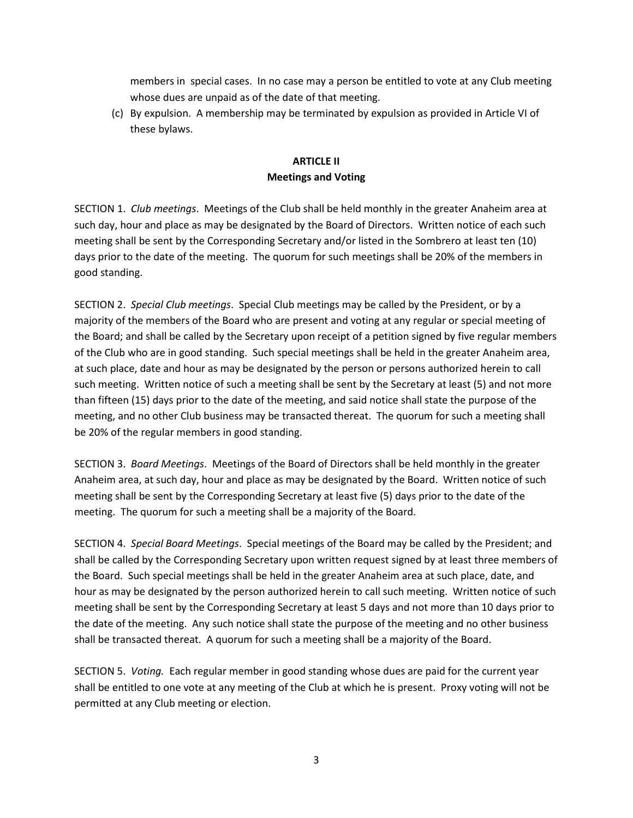members in special cases. In no case may a person be entitled to vote at any Club meeting whose dues are unpaid as of the date of that meeting.

(c) By expulsion. A membership may be terminated by expulsion as provided in Article VI of these bylaws.

## **ARTICLE II Meetings and Voting**

SECTION 1. *Club meetings*. Meetings of the Club shall be held monthly in the greater Anaheim area at such day, hour and place as may be designated by the Board of Directors. Written notice of each such meeting shall be sent by the Corresponding Secretary and/or listed in the Sombrero at least ten (10) days prior to the date of the meeting. The quorum for such meetings shall be 20% of the members in good standing.

SECTION 2. *Special Club meetings*. Special Club meetings may be called by the President, or by a majority of the members of the Board who are present and voting at any regular or special meeting of the Board; and shall be called by the Secretary upon receipt of a petition signed by five regular members of the Club who are in good standing. Such special meetings shall be held in the greater Anaheim area, at such place, date and hour as may be designated by the person or persons authorized herein to call such meeting. Written notice of such a meeting shall be sent by the Secretary at least (5) and not more than fifteen (15) days prior to the date of the meeting, and said notice shall state the purpose of the meeting, and no other Club business may be transacted thereat. The quorum for such a meeting shall be 20% of the regular members in good standing.

SECTION 3. *Board Meetings*. Meetings of the Board of Directors shall be held monthly in the greater Anaheim area, at such day, hour and place as may be designated by the Board. Written notice of such meeting shall be sent by the Corresponding Secretary at least five (5) days prior to the date of the meeting. The quorum for such a meeting shall be a majority of the Board.

SECTION 4. *Special Board Meetings*. Special meetings of the Board may be called by the President; and shall be called by the Corresponding Secretary upon written request signed by at least three members of the Board. Such special meetings shall be held in the greater Anaheim area at such place, date, and hour as may be designated by the person authorized herein to call such meeting. Written notice of such meeting shall be sent by the Corresponding Secretary at least 5 days and not more than 10 days prior to the date of the meeting. Any such notice shall state the purpose of the meeting and no other business shall be transacted thereat. A quorum for such a meeting shall be a majority of the Board.

SECTION 5. *Voting.* Each regular member in good standing whose dues are paid for the current year shall be entitled to one vote at any meeting of the Club at which he is present. Proxy voting will not be permitted at any Club meeting or election.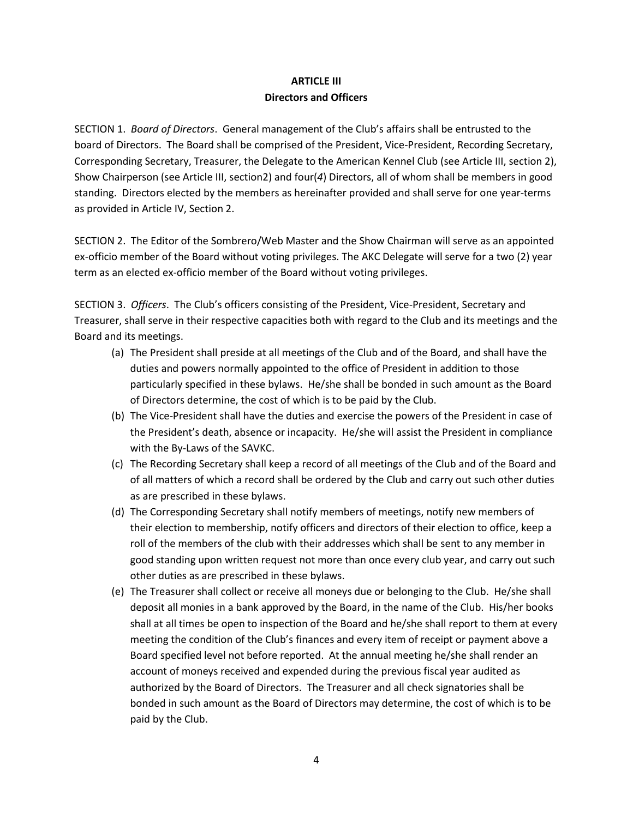## **ARTICLE III Directors and Officers**

SECTION 1. *Board of Directors*. General management of the Club's affairs shall be entrusted to the board of Directors. The Board shall be comprised of the President, Vice-President, Recording Secretary, Corresponding Secretary, Treasurer, the Delegate to the American Kennel Club (see Article III, section 2), Show Chairperson (see Article III, section2) and four(*4*) Directors, all of whom shall be members in good standing. Directors elected by the members as hereinafter provided and shall serve for one year-terms as provided in Article IV, Section 2.

SECTION 2. The Editor of the Sombrero/Web Master and the Show Chairman will serve as an appointed ex-officio member of the Board without voting privileges. The AKC Delegate will serve for a two (2) year term as an elected ex-officio member of the Board without voting privileges.

SECTION 3. *Officers*. The Club's officers consisting of the President, Vice-President, Secretary and Treasurer, shall serve in their respective capacities both with regard to the Club and its meetings and the Board and its meetings.

- (a) The President shall preside at all meetings of the Club and of the Board, and shall have the duties and powers normally appointed to the office of President in addition to those particularly specified in these bylaws. He/she shall be bonded in such amount as the Board of Directors determine, the cost of which is to be paid by the Club.
- (b) The Vice-President shall have the duties and exercise the powers of the President in case of the President's death, absence or incapacity. He/she will assist the President in compliance with the By-Laws of the SAVKC.
- (c) The Recording Secretary shall keep a record of all meetings of the Club and of the Board and of all matters of which a record shall be ordered by the Club and carry out such other duties as are prescribed in these bylaws.
- (d) The Corresponding Secretary shall notify members of meetings, notify new members of their election to membership, notify officers and directors of their election to office, keep a roll of the members of the club with their addresses which shall be sent to any member in good standing upon written request not more than once every club year, and carry out such other duties as are prescribed in these bylaws.
- (e) The Treasurer shall collect or receive all moneys due or belonging to the Club. He/she shall deposit all monies in a bank approved by the Board, in the name of the Club. His/her books shall at all times be open to inspection of the Board and he/she shall report to them at every meeting the condition of the Club's finances and every item of receipt or payment above a Board specified level not before reported. At the annual meeting he/she shall render an account of moneys received and expended during the previous fiscal year audited as authorized by the Board of Directors. The Treasurer and all check signatories shall be bonded in such amount as the Board of Directors may determine, the cost of which is to be paid by the Club.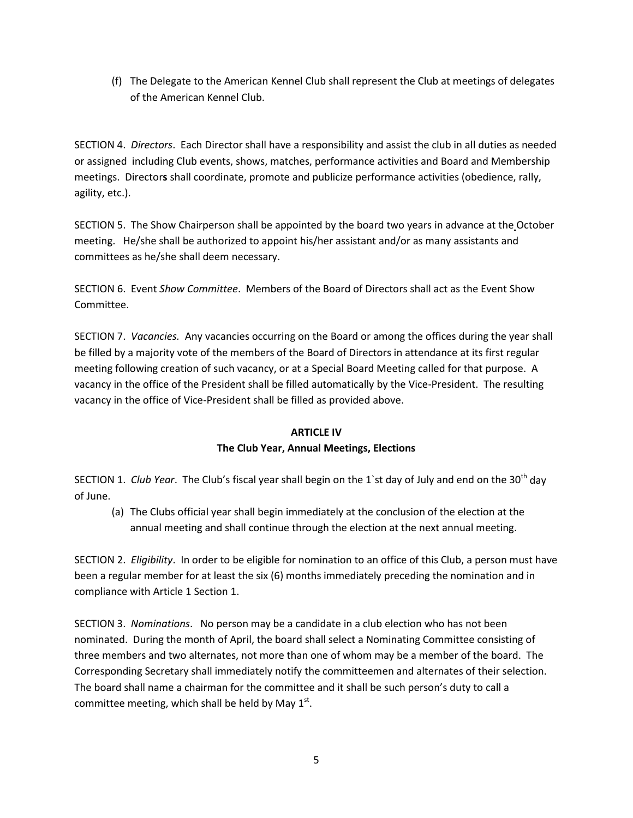(f) The Delegate to the American Kennel Club shall represent the Club at meetings of delegates of the American Kennel Club.

SECTION 4. *Directors*. Each Director shall have a responsibility and assist the club in all duties as needed or assigned including Club events, shows, matches, performance activities and Board and Membership meetings. Director**s** shall coordinate, promote and publicize performance activities (obedience, rally, agility, etc.).

SECTION 5. The Show Chairperson shall be appointed by the board two years in advance at the October meeting. He/she shall be authorized to appoint his/her assistant and/or as many assistants and committees as he/she shall deem necessary.

SECTION 6. Event *Show Committee*. Members of the Board of Directors shall act as the Event Show Committee.

SECTION 7. *Vacancies.* Any vacancies occurring on the Board or among the offices during the year shall be filled by a majority vote of the members of the Board of Directors in attendance at its first regular meeting following creation of such vacancy, or at a Special Board Meeting called for that purpose. A vacancy in the office of the President shall be filled automatically by the Vice-President. The resulting vacancy in the office of Vice-President shall be filled as provided above.

#### **ARTICLE IV**

#### **The Club Year, Annual Meetings, Elections**

SECTION 1. *Club Year*. The Club's fiscal year shall begin on the 1`st day of July and end on the 30th day of June.

(a) The Clubs official year shall begin immediately at the conclusion of the election at the annual meeting and shall continue through the election at the next annual meeting.

SECTION 2. *Eligibility*. In order to be eligible for nomination to an office of this Club, a person must have been a regular member for at least the six (6) months immediately preceding the nomination and in compliance with Article 1 Section 1.

SECTION 3. *Nominations*. No person may be a candidate in a club election who has not been nominated. During the month of April, the board shall select a Nominating Committee consisting of three members and two alternates, not more than one of whom may be a member of the board. The Corresponding Secretary shall immediately notify the committeemen and alternates of their selection. The board shall name a chairman for the committee and it shall be such person's duty to call a committee meeting, which shall be held by May  $1<sup>st</sup>$ .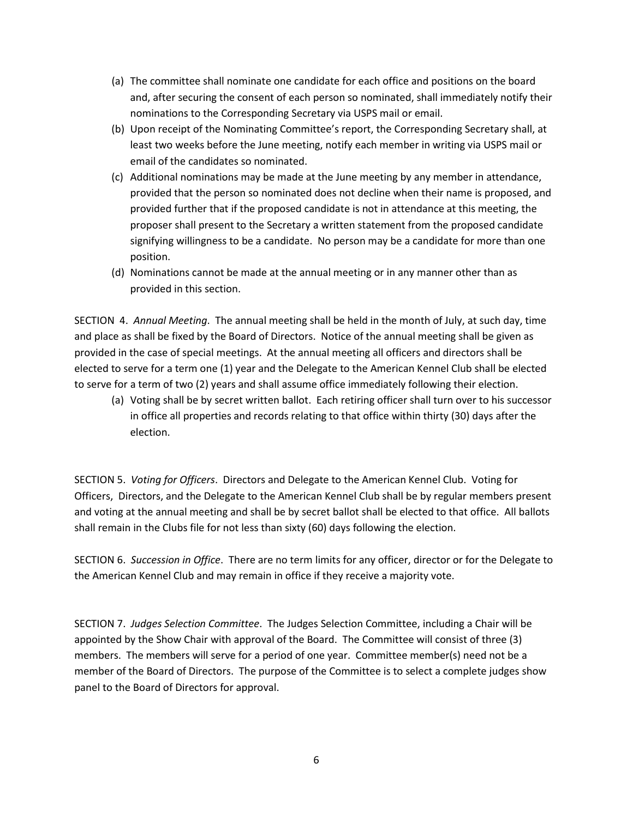- (a) The committee shall nominate one candidate for each office and positions on the board and, after securing the consent of each person so nominated, shall immediately notify their nominations to the Corresponding Secretary via USPS mail or email.
- (b) Upon receipt of the Nominating Committee's report, the Corresponding Secretary shall, at least two weeks before the June meeting, notify each member in writing via USPS mail or email of the candidates so nominated.
- (c) Additional nominations may be made at the June meeting by any member in attendance, provided that the person so nominated does not decline when their name is proposed, and provided further that if the proposed candidate is not in attendance at this meeting, the proposer shall present to the Secretary a written statement from the proposed candidate signifying willingness to be a candidate. No person may be a candidate for more than one position.
- (d) Nominations cannot be made at the annual meeting or in any manner other than as provided in this section.

SECTION 4. *Annual Meeting*. The annual meeting shall be held in the month of July, at such day, time and place as shall be fixed by the Board of Directors. Notice of the annual meeting shall be given as provided in the case of special meetings. At the annual meeting all officers and directors shall be elected to serve for a term one (1) year and the Delegate to the American Kennel Club shall be elected to serve for a term of two (2) years and shall assume office immediately following their election.

(a) Voting shall be by secret written ballot. Each retiring officer shall turn over to his successor in office all properties and records relating to that office within thirty (30) days after the election.

SECTION 5. *Voting for Officers*. Directors and Delegate to the American Kennel Club. Voting for Officers, Directors, and the Delegate to the American Kennel Club shall be by regular members present and voting at the annual meeting and shall be by secret ballot shall be elected to that office. All ballots shall remain in the Clubs file for not less than sixty (60) days following the election.

SECTION 6. *Succession in Office*. There are no term limits for any officer, director or for the Delegate to the American Kennel Club and may remain in office if they receive a majority vote.

SECTION 7. *Judges Selection Committee*. The Judges Selection Committee, including a Chair will be appointed by the Show Chair with approval of the Board. The Committee will consist of three (3) members. The members will serve for a period of one year. Committee member(s) need not be a member of the Board of Directors. The purpose of the Committee is to select a complete judges show panel to the Board of Directors for approval.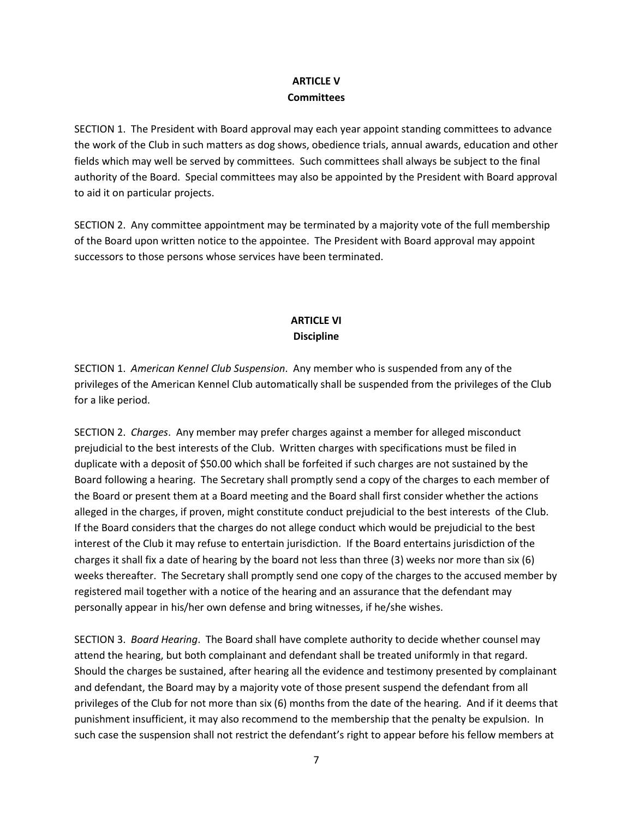## **ARTICLE V Committees**

SECTION 1. The President with Board approval may each year appoint standing committees to advance the work of the Club in such matters as dog shows, obedience trials, annual awards, education and other fields which may well be served by committees. Such committees shall always be subject to the final authority of the Board. Special committees may also be appointed by the President with Board approval to aid it on particular projects.

SECTION 2. Any committee appointment may be terminated by a majority vote of the full membership of the Board upon written notice to the appointee. The President with Board approval may appoint successors to those persons whose services have been terminated.

## **ARTICLE VI Discipline**

SECTION 1. *American Kennel Club Suspension*. Any member who is suspended from any of the privileges of the American Kennel Club automatically shall be suspended from the privileges of the Club for a like period.

SECTION 2. *Charges*. Any member may prefer charges against a member for alleged misconduct prejudicial to the best interests of the Club. Written charges with specifications must be filed in duplicate with a deposit of \$50.00 which shall be forfeited if such charges are not sustained by the Board following a hearing. The Secretary shall promptly send a copy of the charges to each member of the Board or present them at a Board meeting and the Board shall first consider whether the actions alleged in the charges, if proven, might constitute conduct prejudicial to the best interests of the Club. If the Board considers that the charges do not allege conduct which would be prejudicial to the best interest of the Club it may refuse to entertain jurisdiction. If the Board entertains jurisdiction of the charges it shall fix a date of hearing by the board not less than three (3) weeks nor more than six (6) weeks thereafter. The Secretary shall promptly send one copy of the charges to the accused member by registered mail together with a notice of the hearing and an assurance that the defendant may personally appear in his/her own defense and bring witnesses, if he/she wishes.

SECTION 3. *Board Hearing*. The Board shall have complete authority to decide whether counsel may attend the hearing, but both complainant and defendant shall be treated uniformly in that regard. Should the charges be sustained, after hearing all the evidence and testimony presented by complainant and defendant, the Board may by a majority vote of those present suspend the defendant from all privileges of the Club for not more than six (6) months from the date of the hearing. And if it deems that punishment insufficient, it may also recommend to the membership that the penalty be expulsion. In such case the suspension shall not restrict the defendant's right to appear before his fellow members at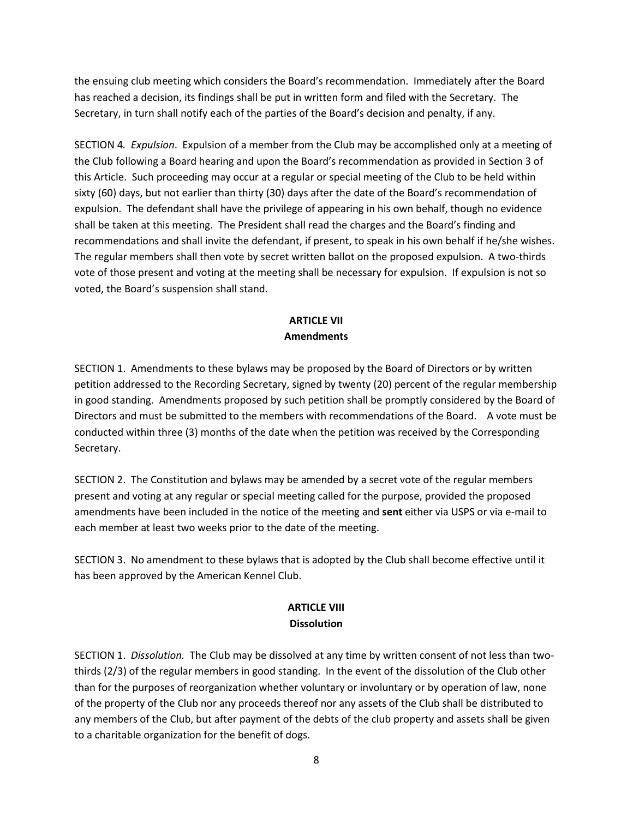the ensuing club meeting which considers the Board's recommendation. Immediately after the Board has reached a decision, its findings shall be put in written form and filed with the Secretary. The Secretary, in turn shall notify each of the parties of the Board's decision and penalty, if any.

SECTION 4*. Expulsion*. Expulsion of a member from the Club may be accomplished only at a meeting of the Club following a Board hearing and upon the Board's recommendation as provided in Section 3 of this Article. Such proceeding may occur at a regular or special meeting of the Club to be held within sixty (60) days, but not earlier than thirty (30) days after the date of the Board's recommendation of expulsion. The defendant shall have the privilege of appearing in his own behalf, though no evidence shall be taken at this meeting. The President shall read the charges and the Board's finding and recommendations and shall invite the defendant, if present, to speak in his own behalf if he/she wishes. The regular members shall then vote by secret written ballot on the proposed expulsion. A two-thirds vote of those present and voting at the meeting shall be necessary for expulsion. If expulsion is not so voted, the Board's suspension shall stand.

# **ARTICLE VII Amendments**

SECTION 1. Amendments to these bylaws may be proposed by the Board of Directors or by written petition addressed to the Recording Secretary, signed by twenty (20) percent of the regular membership in good standing. Amendments proposed by such petition shall be promptly considered by the Board of Directors and must be submitted to the members with recommendations of the Board. A vote must be conducted within three (3) months of the date when the petition was received by the Corresponding Secretary.

SECTION 2. The Constitution and bylaws may be amended by a secret vote of the regular members present and voting at any regular or special meeting called for the purpose, provided the proposed amendments have been included in the notice of the meeting and **sent** either via USPS or via e-mail to each member at least two weeks prior to the date of the meeting.

SECTION 3. No amendment to these bylaws that is adopted by the Club shall become effective until it has been approved by the American Kennel Club.

## **ARTICLE VIII Dissolution**

SECTION 1. *Dissolution.* The Club may be dissolved at any time by written consent of not less than twothirds (2/3) of the regular members in good standing. In the event of the dissolution of the Club other than for the purposes of reorganization whether voluntary or involuntary or by operation of law, none of the property of the Club nor any proceeds thereof nor any assets of the Club shall be distributed to any members of the Club, but after payment of the debts of the club property and assets shall be given to a charitable organization for the benefit of dogs.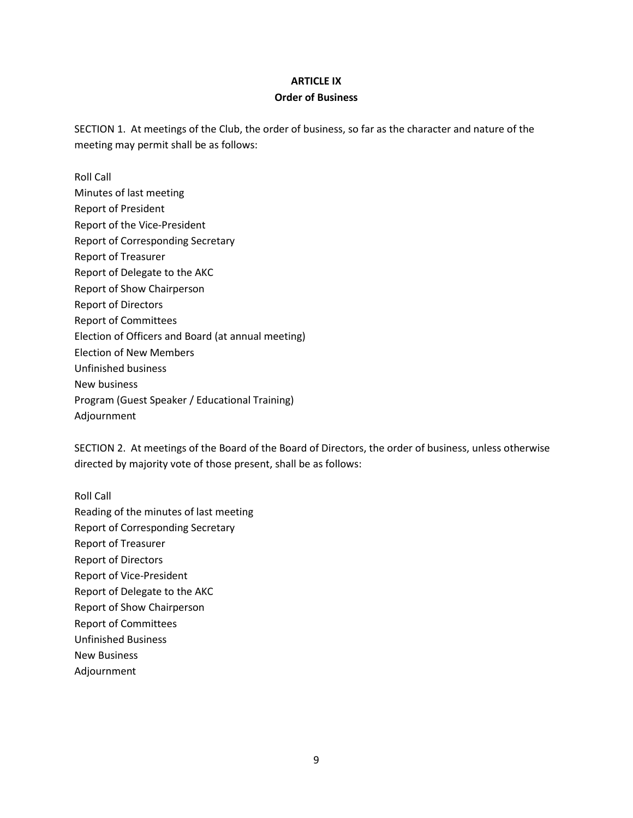### **ARTICLE IX Order of Business**

SECTION 1. At meetings of the Club, the order of business, so far as the character and nature of the meeting may permit shall be as follows:

Roll Call Minutes of last meeting Report of President Report of the Vice-President Report of Corresponding Secretary Report of Treasurer Report of Delegate to the AKC Report of Show Chairperson Report of Directors Report of Committees Election of Officers and Board (at annual meeting) Election of New Members Unfinished business New business Program (Guest Speaker / Educational Training) Adjournment

SECTION 2. At meetings of the Board of the Board of Directors, the order of business, unless otherwise directed by majority vote of those present, shall be as follows:

Roll Call Reading of the minutes of last meeting Report of Corresponding Secretary Report of Treasurer Report of Directors Report of Vice-President Report of Delegate to the AKC Report of Show Chairperson Report of Committees Unfinished Business New Business Adjournment